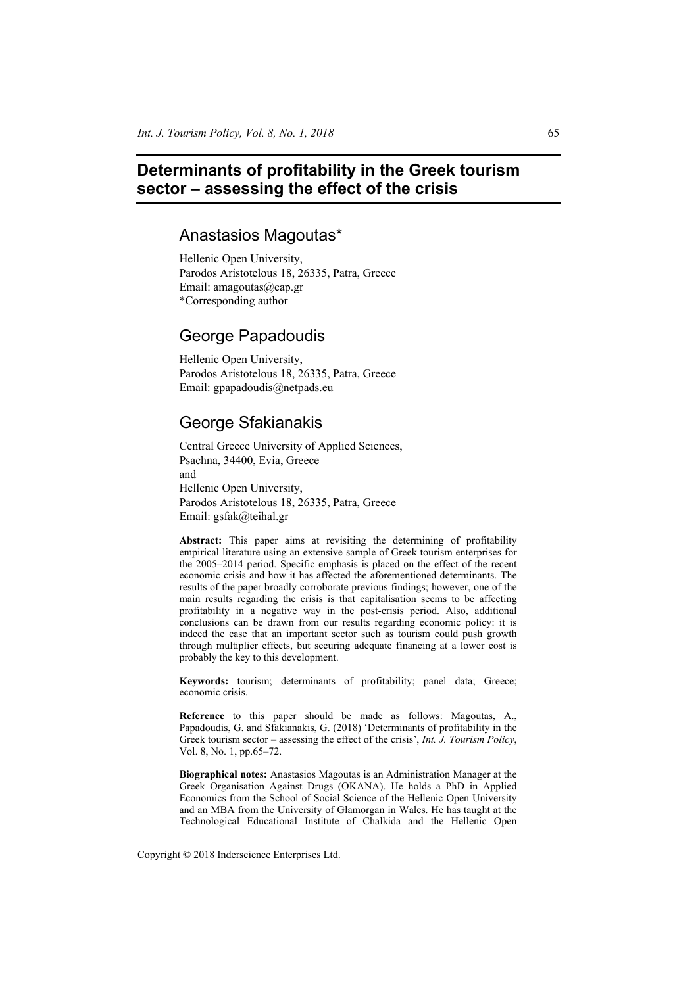# **Determinants of profitability in the Greek tourism sector – assessing the effect of the crisis**

## Anastasios Magoutas\*

Hellenic Open University, Parodos Aristotelous 18, 26335, Patra, Greece Email: amagoutas@eap.gr \*Corresponding author

## George Papadoudis

Hellenic Open University, Parodos Aristotelous 18, 26335, Patra, Greece Email: gpapadoudis@netpads.eu

## George Sfakianakis

Central Greece University of Applied Sciences, Psachna, 34400, Evia, Greece and Hellenic Open University, Parodos Aristotelous 18, 26335, Patra, Greece Email: gsfak@teihal.gr

**Abstract:** This paper aims at revisiting the determining of profitability empirical literature using an extensive sample of Greek tourism enterprises for the 2005–2014 period. Specific emphasis is placed on the effect of the recent economic crisis and how it has affected the aforementioned determinants. The results of the paper broadly corroborate previous findings; however, one of the main results regarding the crisis is that capitalisation seems to be affecting profitability in a negative way in the post-crisis period. Also, additional conclusions can be drawn from our results regarding economic policy: it is indeed the case that an important sector such as tourism could push growth through multiplier effects, but securing adequate financing at a lower cost is probably the key to this development.

**Keywords:** tourism; determinants of profitability; panel data; Greece; economic crisis.

**Reference** to this paper should be made as follows: Magoutas, A., Papadoudis, G. and Sfakianakis, G. (2018) 'Determinants of profitability in the Greek tourism sector – assessing the effect of the crisis', *Int. J. Tourism Policy*, Vol. 8, No. 1, pp.65–72.

**Biographical notes:** Anastasios Magoutas is an Administration Manager at the Greek Organisation Against Drugs (OKANA). He holds a PhD in Applied Economics from the School of Social Science of the Hellenic Open University and an MBA from the University of Glamorgan in Wales. He has taught at the Technological Educational Institute of Chalkida and the Hellenic Open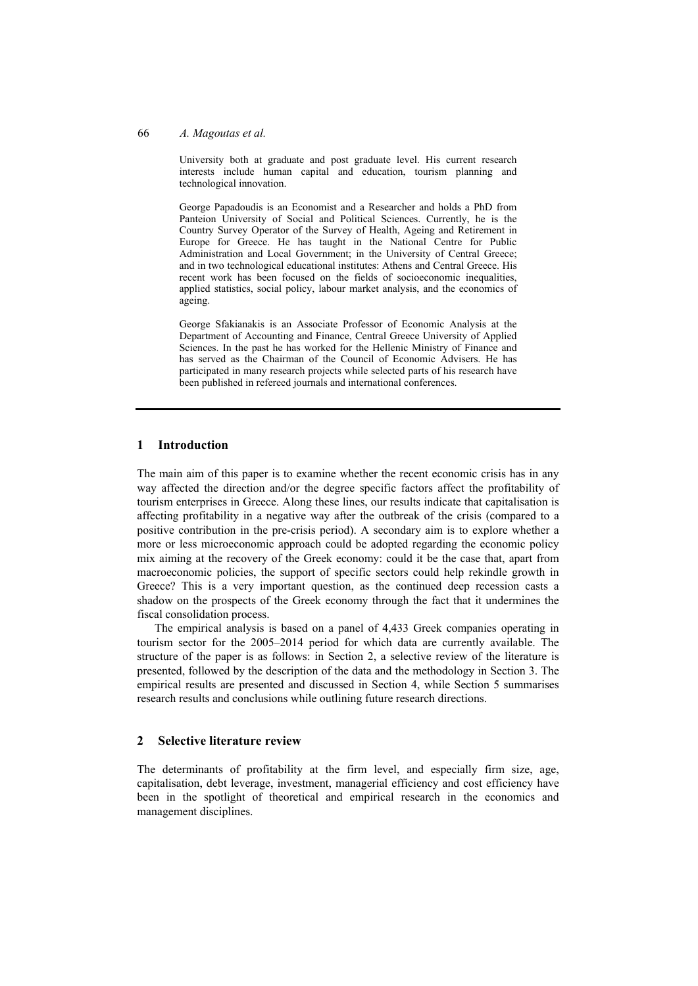University both at graduate and post graduate level. His current research interests include human capital and education, tourism planning and technological innovation.

George Papadoudis is an Economist and a Researcher and holds a PhD from Panteion University of Social and Political Sciences. Currently, he is the Country Survey Operator of the Survey of Health, Ageing and Retirement in Europe for Greece. He has taught in the National Centre for Public Administration and Local Government: in the University of Central Greece: and in two technological educational institutes: Athens and Central Greece. His recent work has been focused on the fields of socioeconomic inequalities, applied statistics, social policy, labour market analysis, and the economics of ageing.

George Sfakianakis is an Associate Professor of Economic Analysis at the Department of Accounting and Finance, Central Greece University of Applied Sciences. In the past he has worked for the Hellenic Ministry of Finance and has served as the Chairman of the Council of Economic Advisers. He has participated in many research projects while selected parts of his research have been published in refereed journals and international conferences.

### **1 Introduction**

The main aim of this paper is to examine whether the recent economic crisis has in any way affected the direction and/or the degree specific factors affect the profitability of tourism enterprises in Greece. Along these lines, our results indicate that capitalisation is affecting profitability in a negative way after the outbreak of the crisis (compared to a positive contribution in the pre-crisis period). A secondary aim is to explore whether a more or less microeconomic approach could be adopted regarding the economic policy mix aiming at the recovery of the Greek economy: could it be the case that, apart from macroeconomic policies, the support of specific sectors could help rekindle growth in Greece? This is a very important question, as the continued deep recession casts a shadow on the prospects of the Greek economy through the fact that it undermines the fiscal consolidation process.

The empirical analysis is based on a panel of 4,433 Greek companies operating in tourism sector for the 2005–2014 period for which data are currently available. The structure of the paper is as follows: in Section 2, a selective review of the literature is presented, followed by the description of the data and the methodology in Section 3. The empirical results are presented and discussed in Section 4, while Section 5 summarises research results and conclusions while outlining future research directions.

### **2 Selective literature review**

The determinants of profitability at the firm level, and especially firm size, age, capitalisation, debt leverage, investment, managerial efficiency and cost efficiency have been in the spotlight of theoretical and empirical research in the economics and management disciplines.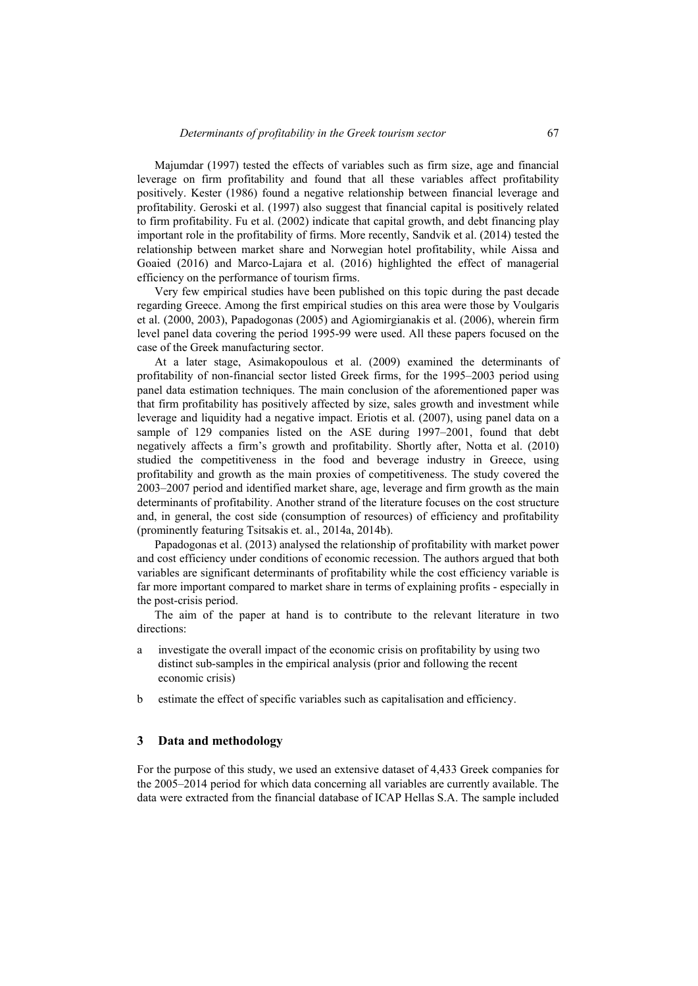Majumdar (1997) tested the effects of variables such as firm size, age and financial leverage on firm profitability and found that all these variables affect profitability positively. Kester (1986) found a negative relationship between financial leverage and profitability. Geroski et al. (1997) also suggest that financial capital is positively related to firm profitability. Fu et al. (2002) indicate that capital growth, and debt financing play important role in the profitability of firms. More recently, Sandvik et al. (2014) tested the relationship between market share and Norwegian hotel profitability, while Aissa and Goaied (2016) and Marco-Lajara et al. (2016) highlighted the effect of managerial efficiency on the performance of tourism firms.

Very few empirical studies have been published on this topic during the past decade regarding Greece. Among the first empirical studies on this area were those by Voulgaris et al. (2000, 2003), Papadogonas (2005) and Agiomirgianakis et al. (2006), wherein firm level panel data covering the period 1995-99 were used. All these papers focused on the case of the Greek manufacturing sector.

At a later stage, Asimakopoulous et al. (2009) examined the determinants of profitability of non-financial sector listed Greek firms, for the 1995–2003 period using panel data estimation techniques. The main conclusion of the aforementioned paper was that firm profitability has positively affected by size, sales growth and investment while leverage and liquidity had a negative impact. Eriotis et al. (2007), using panel data on a sample of 129 companies listed on the ASE during 1997–2001, found that debt negatively affects a firm's growth and profitability. Shortly after, Notta et al. (2010) studied the competitiveness in the food and beverage industry in Greece, using profitability and growth as the main proxies of competitiveness. The study covered the 2003–2007 period and identified market share, age, leverage and firm growth as the main determinants of profitability. Another strand of the literature focuses on the cost structure and, in general, the cost side (consumption of resources) of efficiency and profitability (prominently featuring Tsitsakis et. al., 2014a, 2014b).

Papadogonas et al. (2013) analysed the relationship of profitability with market power and cost efficiency under conditions of economic recession. The authors argued that both variables are significant determinants of profitability while the cost efficiency variable is far more important compared to market share in terms of explaining profits - especially in the post-crisis period.

The aim of the paper at hand is to contribute to the relevant literature in two directions:

- a investigate the overall impact of the economic crisis on profitability by using two distinct sub-samples in the empirical analysis (prior and following the recent economic crisis)
- b estimate the effect of specific variables such as capitalisation and efficiency.

#### **3 Data and methodology**

For the purpose of this study, we used an extensive dataset of 4,433 Greek companies for the 2005–2014 period for which data concerning all variables are currently available. The data were extracted from the financial database of ICAP Hellas S.A. The sample included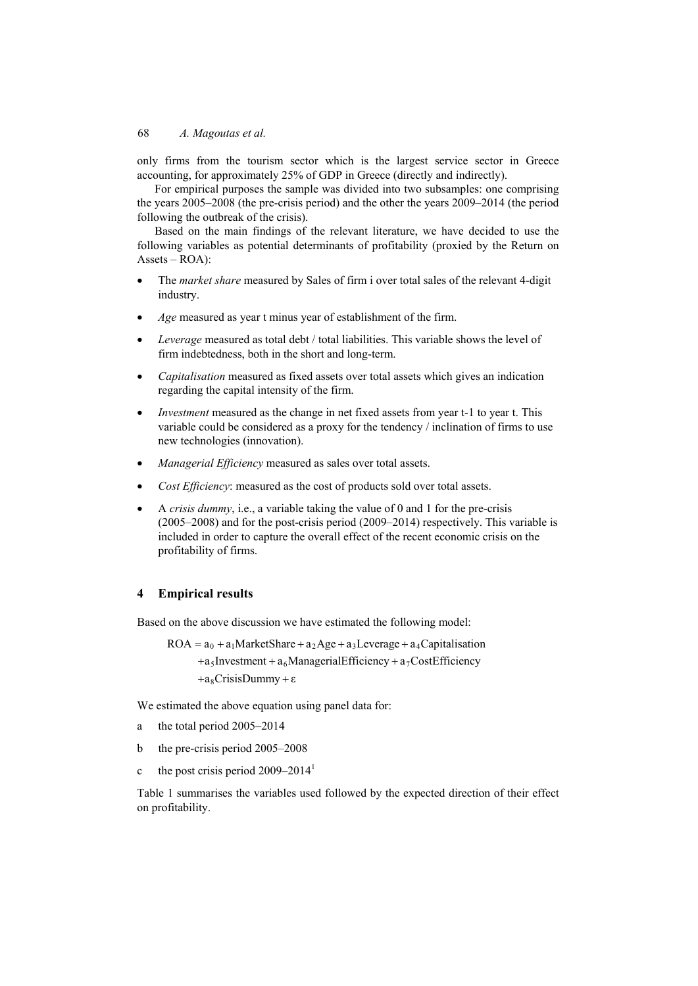only firms from the tourism sector which is the largest service sector in Greece accounting, for approximately 25% of GDP in Greece (directly and indirectly).

For empirical purposes the sample was divided into two subsamples: one comprising the years 2005–2008 (the pre-crisis period) and the other the years 2009–2014 (the period following the outbreak of the crisis).

Based on the main findings of the relevant literature, we have decided to use the following variables as potential determinants of profitability (proxied by the Return on Assets – ROA):

- The *market share* measured by Sales of firm i over total sales of the relevant 4-digit industry.
- *Age* measured as year t minus year of establishment of the firm.
- *Leverage* measured as total debt / total liabilities. This variable shows the level of firm indebtedness, both in the short and long-term.
- *Capitalisation* measured as fixed assets over total assets which gives an indication regarding the capital intensity of the firm.
- *Investment* measured as the change in net fixed assets from year t-1 to year t. This variable could be considered as a proxy for the tendency / inclination of firms to use new technologies (innovation).
- *Managerial Efficiency* measured as sales over total assets.
- *Cost Efficiency*: measured as the cost of products sold over total assets.
- A *crisis dummy*, i.e., a variable taking the value of 0 and 1 for the pre-crisis (2005–2008) and for the post-crisis period (2009–2014) respectively. This variable is included in order to capture the overall effect of the recent economic crisis on the profitability of firms.

## **4 Empirical results**

Based on the above discussion we have estimated the following model:

 $ROA = a_0 + a_1 MarketShare + a_2Age + a_3 Leverage + a_4 Capitalisation$ +a<sub>5</sub>Investment +  $a_6$ ManagerialEfficiency +  $a_7$ CostEfficiency  $+a_8$ CrisisDummy +  $\varepsilon$ 

We estimated the above equation using panel data for:

- a the total period 2005–2014
- b the pre-crisis period 2005–2008
- c the post crisis period  $2009-2014<sup>1</sup>$

Table 1 summarises the variables used followed by the expected direction of their effect on profitability.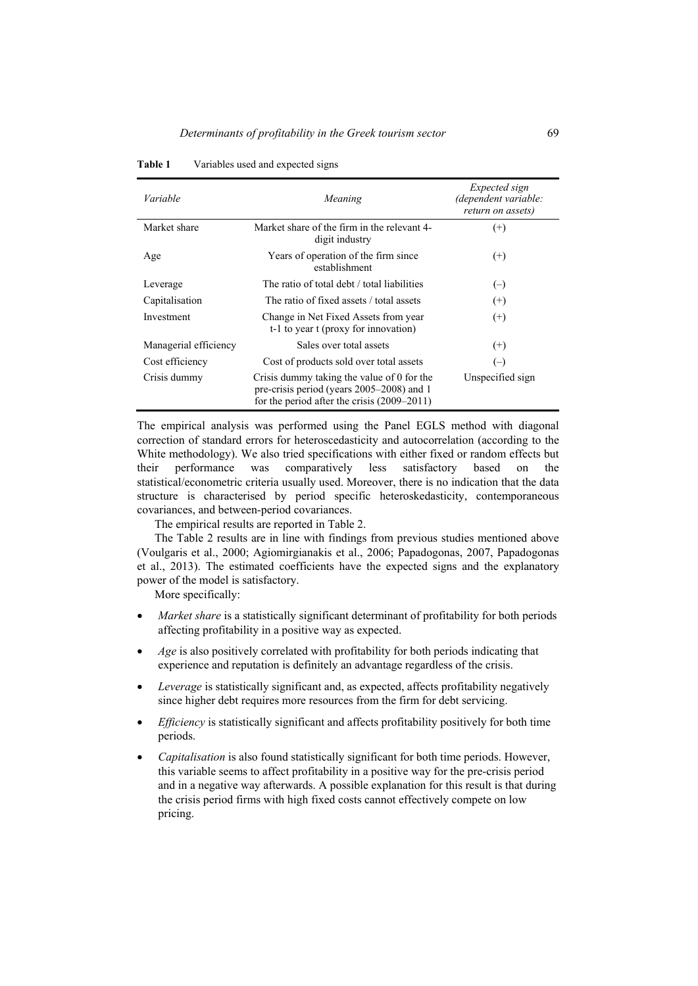| Variable              | Meaning                                                                                                                                  | Expected sign<br>(dependent variable:<br>return on assets) |
|-----------------------|------------------------------------------------------------------------------------------------------------------------------------------|------------------------------------------------------------|
| Market share          | Market share of the firm in the relevant 4-<br>digit industry                                                                            | $^{(+)}$                                                   |
| Age                   | Years of operation of the firm since<br>establishment                                                                                    | $^{(+)}$                                                   |
| Leverage              | The ratio of total debt / total liabilities                                                                                              | $(-)$                                                      |
| Capitalisation        | The ratio of fixed assets / total assets                                                                                                 | $^{(+)}$                                                   |
| Investment            | Change in Net Fixed Assets from year<br>t-1 to year t (proxy for innovation)                                                             | $^{(+)}$                                                   |
| Managerial efficiency | Sales over total assets                                                                                                                  | $^{(+)}$                                                   |
| Cost efficiency       | Cost of products sold over total assets                                                                                                  | $(-)$                                                      |
| Crisis dummy          | Crisis dummy taking the value of 0 for the<br>pre-crisis period (years 2005–2008) and 1<br>for the period after the crisis $(2009-2011)$ | Unspecified sign                                           |

#### **Table 1** Variables used and expected signs

The empirical analysis was performed using the Panel EGLS method with diagonal correction of standard errors for heteroscedasticity and autocorrelation (according to the White methodology). We also tried specifications with either fixed or random effects but their performance was comparatively less satisfactory based on the statistical/econometric criteria usually used. Moreover, there is no indication that the data structure is characterised by period specific heteroskedasticity, contemporaneous covariances, and between-period covariances.

The empirical results are reported in Table 2.

The Table 2 results are in line with findings from previous studies mentioned above (Voulgaris et al., 2000; Agiomirgianakis et al., 2006; Papadogonas, 2007, Papadogonas et al., 2013). The estimated coefficients have the expected signs and the explanatory power of the model is satisfactory.

More specifically:

- *Market share* is a statistically significant determinant of profitability for both periods affecting profitability in a positive way as expected.
- *Age* is also positively correlated with profitability for both periods indicating that experience and reputation is definitely an advantage regardless of the crisis.
- *Leverage* is statistically significant and, as expected, affects profitability negatively since higher debt requires more resources from the firm for debt servicing.
- *Efficiency* is statistically significant and affects profitability positively for both time periods.
- *Capitalisation* is also found statistically significant for both time periods. However, this variable seems to affect profitability in a positive way for the pre-crisis period and in a negative way afterwards. A possible explanation for this result is that during the crisis period firms with high fixed costs cannot effectively compete on low pricing.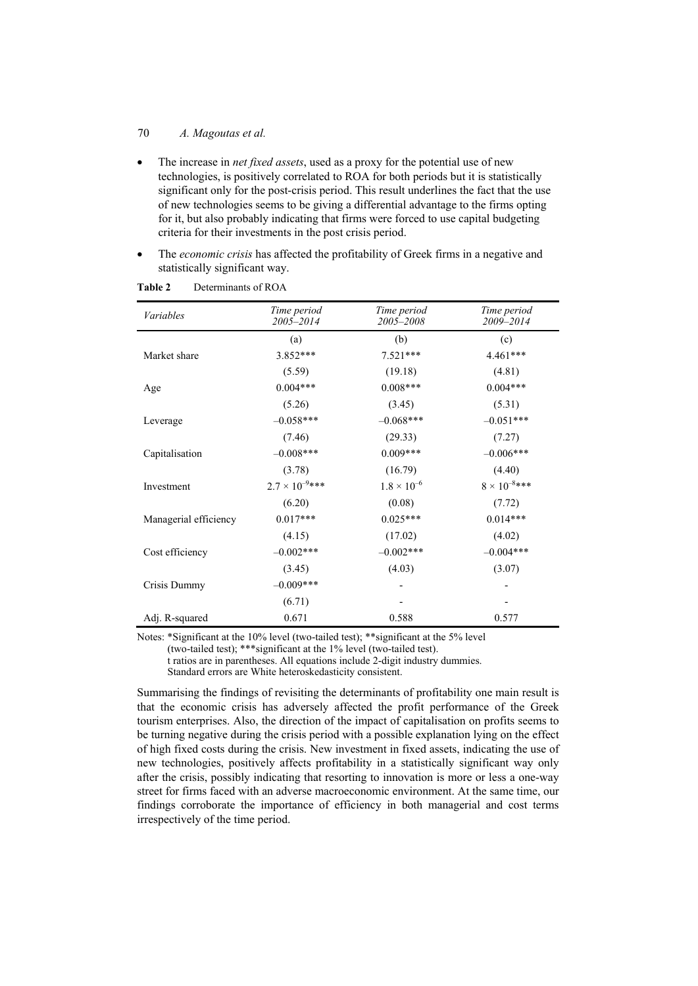- The increase in *net fixed assets*, used as a proxy for the potential use of new technologies, is positively correlated to ROA for both periods but it is statistically significant only for the post-crisis period. This result underlines the fact that the use of new technologies seems to be giving a differential advantage to the firms opting for it, but also probably indicating that firms were forced to use capital budgeting criteria for their investments in the post crisis period.
- The *economic crisis* has affected the profitability of Greek firms in a negative and statistically significant way.

| Variables             | Time period<br>2005-2014 | Time period<br>2005-2008 | Time period<br>2009-2014 |
|-----------------------|--------------------------|--------------------------|--------------------------|
|                       | (a)                      | (b)                      | (c)                      |
| Market share          | $3.852***$               | $7.521***$               | $4.461***$               |
|                       | (5.59)                   | (19.18)                  | (4.81)                   |
| Age                   | $0.004***$               | $0.008***$               | $0.004***$               |
|                       | (5.26)                   | (3.45)                   | (5.31)                   |
| Leverage              | $-0.058***$              | $-0.068***$              | $-0.051***$              |
|                       | (7.46)                   | (29.33)                  | (7.27)                   |
| Capitalisation        | $-0.008***$              | $0.009***$               | $-0.006***$              |
|                       | (3.78)                   | (16.79)                  | (4.40)                   |
| Investment            | $2.7 \times 10^{-9***}$  | $1.8 \times 10^{-6}$     | $8 \times 10^{-8***}$    |
|                       | (6.20)                   | (0.08)                   | (7.72)                   |
| Managerial efficiency | $0.017***$               | $0.025***$               | $0.014***$               |
|                       | (4.15)                   | (17.02)                  | (4.02)                   |
| Cost efficiency       | $-0.002$ ***             | $-0.002$ ***             | $-0.004***$              |
|                       | (3.45)                   | (4.03)                   | (3.07)                   |
| Crisis Dummy          | $-0.009***$              |                          |                          |
|                       | (6.71)                   |                          |                          |
| Adj. R-squared        | 0.671                    | 0.588                    | 0.577                    |

**Table 2** Determinants of ROA

Notes: \*Significant at the 10% level (two-tailed test); \*\*significant at the 5% level (two-tailed test); \*\*\*significant at the 1% level (two-tailed test).

t ratios are in parentheses. All equations include 2-digit industry dummies.

Standard errors are White heteroskedasticity consistent.

Summarising the findings of revisiting the determinants of profitability one main result is that the economic crisis has adversely affected the profit performance of the Greek tourism enterprises. Also, the direction of the impact of capitalisation on profits seems to be turning negative during the crisis period with a possible explanation lying on the effect of high fixed costs during the crisis. New investment in fixed assets, indicating the use of new technologies, positively affects profitability in a statistically significant way only after the crisis, possibly indicating that resorting to innovation is more or less a one-way street for firms faced with an adverse macroeconomic environment. At the same time, our findings corroborate the importance of efficiency in both managerial and cost terms irrespectively of the time period.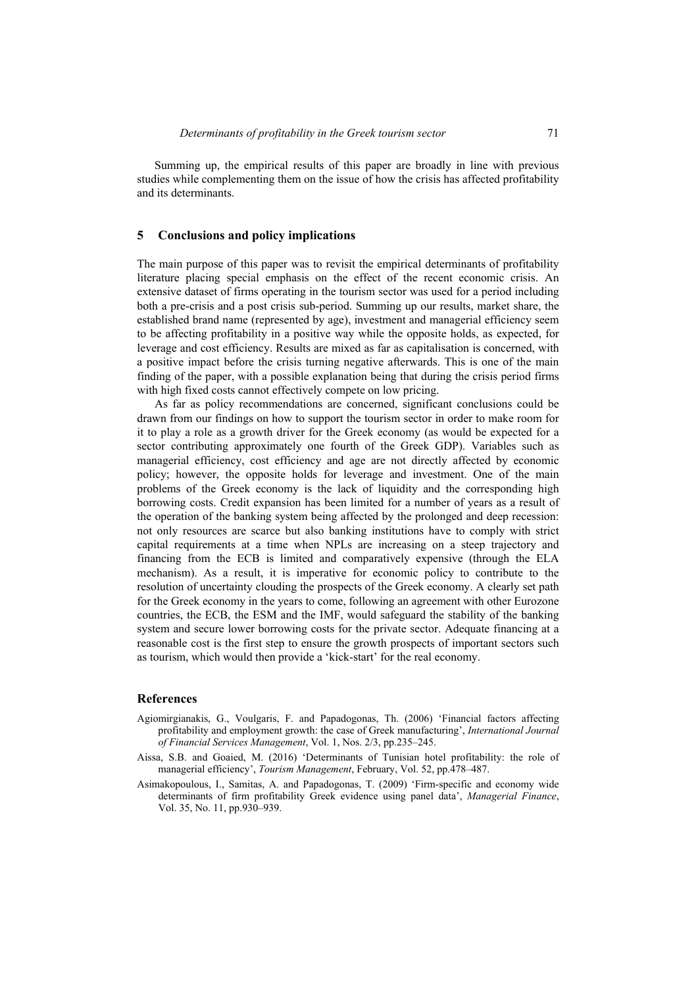Summing up, the empirical results of this paper are broadly in line with previous studies while complementing them on the issue of how the crisis has affected profitability and its determinants.

### **5 Conclusions and policy implications**

The main purpose of this paper was to revisit the empirical determinants of profitability literature placing special emphasis on the effect of the recent economic crisis. An extensive dataset of firms operating in the tourism sector was used for a period including both a pre-crisis and a post crisis sub-period. Summing up our results, market share, the established brand name (represented by age), investment and managerial efficiency seem to be affecting profitability in a positive way while the opposite holds, as expected, for leverage and cost efficiency. Results are mixed as far as capitalisation is concerned, with a positive impact before the crisis turning negative afterwards. This is one of the main finding of the paper, with a possible explanation being that during the crisis period firms with high fixed costs cannot effectively compete on low pricing.

As far as policy recommendations are concerned, significant conclusions could be drawn from our findings on how to support the tourism sector in order to make room for it to play a role as a growth driver for the Greek economy (as would be expected for a sector contributing approximately one fourth of the Greek GDP). Variables such as managerial efficiency, cost efficiency and age are not directly affected by economic policy; however, the opposite holds for leverage and investment. One of the main problems of the Greek economy is the lack of liquidity and the corresponding high borrowing costs. Credit expansion has been limited for a number of years as a result of the operation of the banking system being affected by the prolonged and deep recession: not only resources are scarce but also banking institutions have to comply with strict capital requirements at a time when NPLs are increasing on a steep trajectory and financing from the ECB is limited and comparatively expensive (through the ELA mechanism). As a result, it is imperative for economic policy to contribute to the resolution of uncertainty clouding the prospects of the Greek economy. A clearly set path for the Greek economy in the years to come, following an agreement with other Eurozone countries, the ECB, the ESM and the IMF, would safeguard the stability of the banking system and secure lower borrowing costs for the private sector. Adequate financing at a reasonable cost is the first step to ensure the growth prospects of important sectors such as tourism, which would then provide a 'kick-start' for the real economy.

#### **References**

- Agiomirgianakis, G., Voulgaris, F. and Papadogonas, Th. (2006) 'Financial factors affecting profitability and employment growth: the case of Greek manufacturing', *International Journal of Financial Services Management*, Vol. 1, Nos. 2/3, pp.235–245.
- Aissa, S.B. and Goaied, M. (2016) 'Determinants of Tunisian hotel profitability: the role of managerial efficiency', *Tourism Management*, February, Vol. 52, pp.478–487.
- Asimakopoulous, I., Samitas, A. and Papadogonas, T. (2009) 'Firm-specific and economy wide determinants of firm profitability Greek evidence using panel data', *Managerial Finance*, Vol. 35, No. 11, pp.930–939.